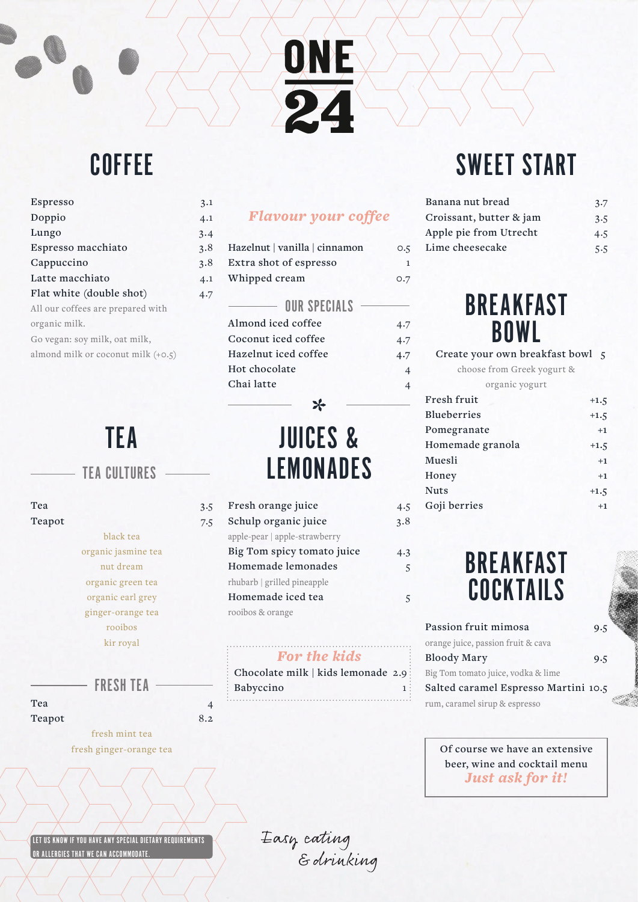### **COFFEE**

| Espresso                             | 3.1 |
|--------------------------------------|-----|
| Doppio                               | 4.1 |
| Lungo                                | 3.4 |
| Espresso macchiato                   | 3.8 |
| Cappuccino                           | 3.8 |
| Latte macchiato                      | 4.1 |
| Flat white (double shot)             | 4.7 |
| All our coffees are prepared with    |     |
| organic milk.                        |     |
| Go vegan: soy milk, oat milk,        |     |
| almond milk or coconut milk $(+0.5)$ |     |
|                                      |     |

## TEA

#### TEA CULTURES

| 3.5 |
|-----|
| 7.5 |
|     |
|     |
|     |
|     |
|     |
|     |
|     |
|     |
|     |
|     |

FRESH TEA

**Tea** 4 Teapot 8.2

> fresh mint tea fresh ginger-orange tea

#### *Flavour your coffee*

ONE

24

| O.5          |
|--------------|
| $\mathbf{1}$ |
| O.7          |
|              |
| 4.7          |
| 4.7          |
| 4.7          |
| 4            |
|              |
|              |

## JUICES & LEMONADES

 $\ast$ 

| Fresh orange juice            | 4.5 |
|-------------------------------|-----|
| Schulp organic juice          | 3.8 |
| apple-pear   apple-strawberry |     |
| Big Tom spicy tomato juice    | 4.3 |
| Homemade lemonades            | 5   |
| rhubarb   grilled pineapple   |     |
| Homemade iced tea             | 5   |
| rooibos & orange              |     |

#### *For the kids*

| Chocolate milk   kids lemonade 2.9 |  |
|------------------------------------|--|
| Babyccino                          |  |
|                                    |  |

# SWEET START

| Banana nut bread        | 3.7 |
|-------------------------|-----|
| Croissant, butter & jam | 3.5 |
| Apple pie from Utrecht  | 4.5 |
| Lime cheesecake         | 5.5 |
|                         |     |

### BREAKFAST BOWL

**Create your own breakfast bowl 5** choose from Greek yogurt &

| $\frac{1}{2}$      |        |
|--------------------|--------|
| organic yogurt     |        |
| Fresh fruit        | $+1.5$ |
| <b>Blueberries</b> | $+1.5$ |
| Pomegranate        | $+1$   |
| Homemade granola   | $+1.5$ |
| Muesli             | $+1$   |
| Honey              | $+1$   |
| <b>Nuts</b>        | $+1.5$ |
| Goji berries       | $+1$   |
|                    |        |



| Passion fruit mimosa                 | 9.5 |
|--------------------------------------|-----|
| orange juice, passion fruit & cava   |     |
| <b>Bloody Mary</b>                   | 9.5 |
| Big Tom tomato juice, vodka & lime   |     |
| Salted caramel Espresso Martini 10.5 |     |
| rum, caramel sirup & espresso        |     |

**Of course we have an extensive beer, wine and cocktail menu** *Just ask for it!*

LET US KNOW IF YOU HAVE ANY SPECIAL DIETARY REQUIREMENTS OR ALLERGIES THAT WE CAN ACCOMMODATE.

Easy cating<br>Edrinking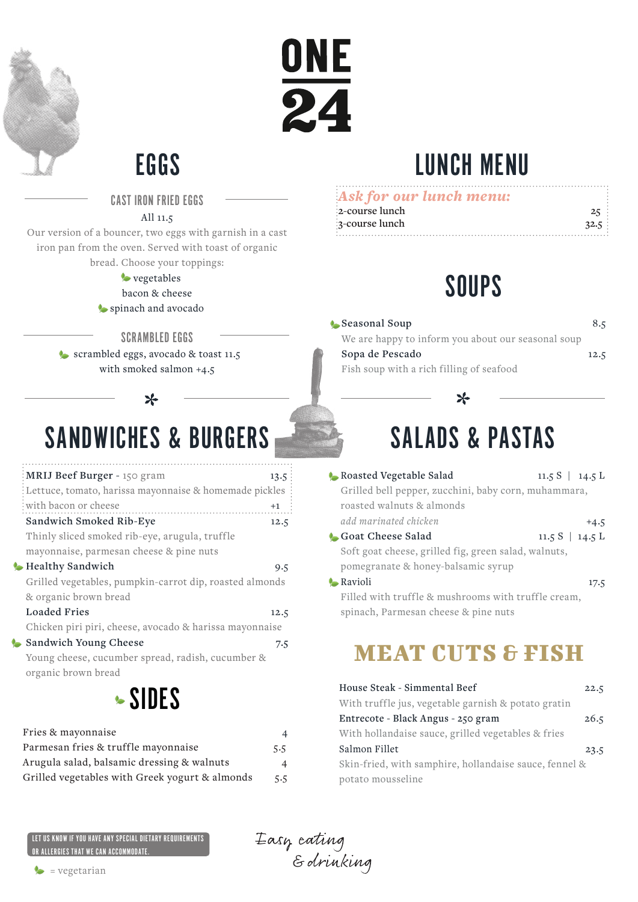



## EGGS LUNCH MENU

CAST IRON FRIED EGGS

#### All 11.5

Our version of a bouncer, two eggs with garnish in a cast iron pan from the oven. Served with toast of organic bread. Choose your toppings:

#### **vegetables** bacon & cheese

spinach and avocado

#### SCRAMBLED EGGS

scrambled eggs, avocado & toast 11.5 with smoked salmon +4.5

#### $\ast$

## SANDWICHES & BURGERS

| MRIJ Beef Burger - 150 gram                              | 13.5: |
|----------------------------------------------------------|-------|
| : Lettuce, tomato, harissa mayonnaise & homemade pickles |       |
| with bacon or cheese                                     | $+1$  |
| Sandwich Smoked Rib-Eye                                  | 12.5  |
| Thinly sliced smoked rib-eye, arugula, truffle           |       |
| mayonnaise, parmesan cheese & pine nuts                  |       |
| <b>Healthy Sandwich</b>                                  | 9.5   |
| Grilled vegetables, pumpkin-carrot dip, roasted almonds  |       |
| & organic brown bread                                    |       |
| Loaded Fries                                             | 12.5  |
| Chicken piri piri, cheese, avocado & harissa mayonnaise  |       |
| Sandwich Young Cheese                                    | 7.5   |
| Young cheese, cucumber spread, radish, cucumber &        |       |
| organic brown bread                                      |       |

## SIDES

| Fries & mayonnaise                             | 4   |
|------------------------------------------------|-----|
| Parmesan fries & truffle mayonnaise            | 5.5 |
| Arugula salad, balsamic dressing & walnuts     | 4   |
| Grilled vegetables with Greek yogurt & almonds | 5.5 |

#### *Ask for our lunch menu:* **2-cours 3-course lunch 32.5**

| e lunch |      |
|---------|------|
| e lunch | 32.5 |
|         |      |

## SOUPS

**Seasonal Soup 8.5** We are happy to inform you about our seasonal soup

**Sopa de Pescado** 12.5

#### Fish soup with a rich filling of seafood

# SALADS & PASTAS

 $\ast$ 

**Roasted Vegetable Salad** 11.5 S | 14.5 L Grilled bell pepper, zucchini, baby corn, muhammara, roasted walnuts & almonds add marinated chicken  $+4.5$ **Goat Cheese Salad** 11.5 S | 14.5 L Soft goat cheese, grilled fig, green salad, walnuts, pomegranate & honey-balsamic syrup Ravioli 17.5 Filled with truffle & mushrooms with truffle cream, spinach, Parmesan cheese & pine nuts

### MEAT CUTS & FISH

| House Steak - Simmental Beef                           | 22.5 |
|--------------------------------------------------------|------|
| With truffle jus, vegetable garnish & potato gratin    |      |
| Entrecote - Black Angus - 250 gram                     | 26.5 |
| With hollandaise sauce, grilled vegetables & fries     |      |
| Salmon Fillet                                          | 23.5 |
| Skin-fried, with samphire, hollandaise sauce, fennel & |      |
| potato mousseline                                      |      |

LET US KNOW IF YOU HAVE ANY SPECIAL DIETARY REQUIREMENTS OR ALLERGIES THAT WE CAN ACCOMMODATE.

Easy cating<br>Edrinking

 $\bullet$  = vegetarian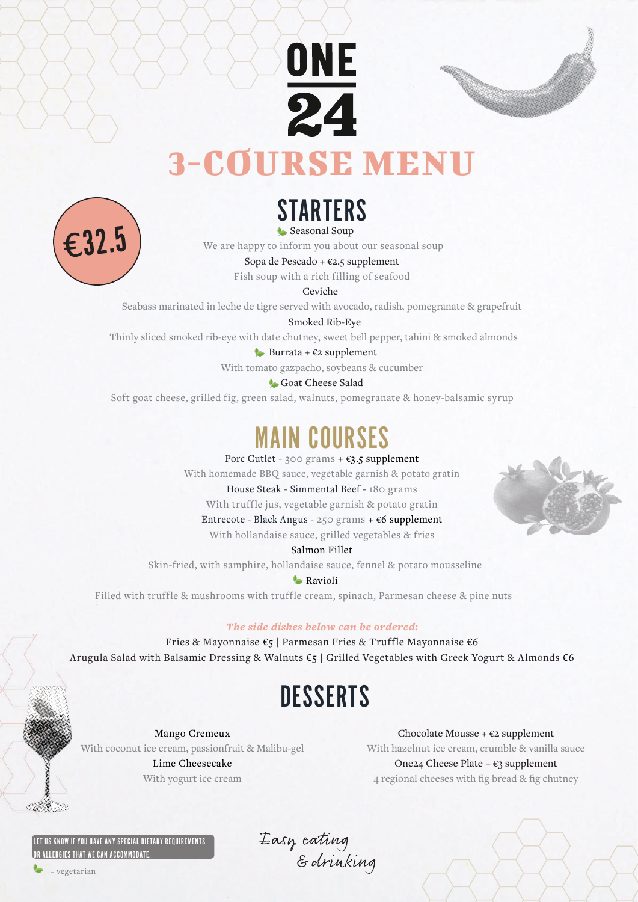



# 3-COURSE MENU



Seasonal Soup **STARTERS** 

We are happy to inform you about our seasonal soup

Sopa de Pescado +  $\epsilon$ 2.5 supplement

Fish soup with a rich filling of seafood

Seabass marinated in leche de tigre served with avocado, radish, pomegranate & grapefruit

Smoked Rib-Eye

Thinly sliced smoked rib-eye with date chutney, sweet bell pepper, tahini & smoked almonds

Burrata +  $\epsilon$ 2 supplement

With tomato gazpacho, soybeans & cucumber

Goat Cheese Salad

Soft goat cheese, grilled fig, green salad, walnuts, pomegranate & honey-balsamic syrup

### MAIN COURSES

Porc Cutlet - 300 grams +  $\epsilon$ 3.5 supplement

With homemade BBQ sauce, vegetable garnish & potato gratin

House Steak - Simmental Beef - 180 grams

With truffle jus, vegetable garnish & potato gratin

Entrecote - Black Angus - 250 grams + €6 supplement

With hollandaise sauce, grilled vegetables & fries

Salmon Fillet

Skin-fried, with samphire, hollandaise sauce, fennel & potato mousseline

#### **C**Ravioli

Filled with truffle & mushrooms with truffle cream, spinach, Parmesan cheese & pine nuts

#### *The side dishes below can be ordered:*

Fries & Mayonnaise €5 | Parmesan Fries & Truffle Mayonnaise €6 Arugula Salad with Balsamic Dressing & Walnuts €5 | Grilled Vegetables with Greek Yogurt & Almonds €6

## **DESSERTS**

Mango Cremeux With coconut ice cream, passionfruit & Malibu-gel Lime Cheesecake With yogurt ice cream

Chocolate Mousse +  $\epsilon$ 2 supplement With hazelnut ice cream, crumble & vanilla sauce One24 Cheese Plate +  $\epsilon$ 3 supplement 4 regional cheeses with fig bread & fig chutney

LET US KNOW IF YOU HAVE ANY SPECIAL DIETARY REQUIREMENTS OR ALLERGIES THAT WE CAN ACCOMMODATE.

Easy cating<br>Edrinking

= vegetarian